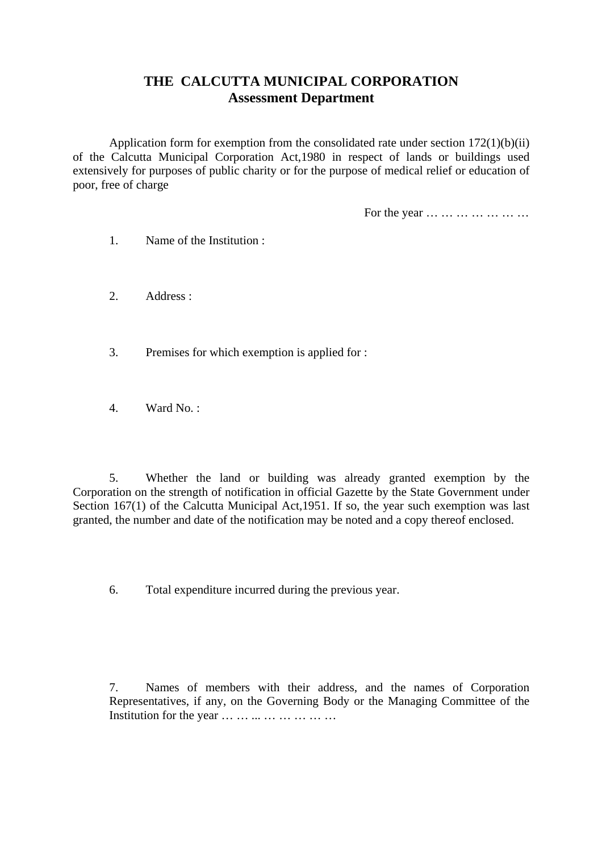## **THE CALCUTTA MUNICIPAL CORPORATION Assessment Department**

Application form for exemption from the consolidated rate under section 172(1)(b)(ii) of the Calcutta Municipal Corporation Act,1980 in respect of lands or buildings used extensively for purposes of public charity or for the purpose of medical relief or education of poor, free of charge

For the year … … … … … … …

- 1. Name of the Institution :
- 2. Address :
- 3. Premises for which exemption is applied for :
- 4. Ward No. :

5. Whether the land or building was already granted exemption by the Corporation on the strength of notification in official Gazette by the State Government under Section 167(1) of the Calcutta Municipal Act, 1951. If so, the year such exemption was last granted, the number and date of the notification may be noted and a copy thereof enclosed.

6. Total expenditure incurred during the previous year.

7. Names of members with their address, and the names of Corporation Representatives, if any, on the Governing Body or the Managing Committee of the Institution for the year ... ... ... ... ... ... ... ...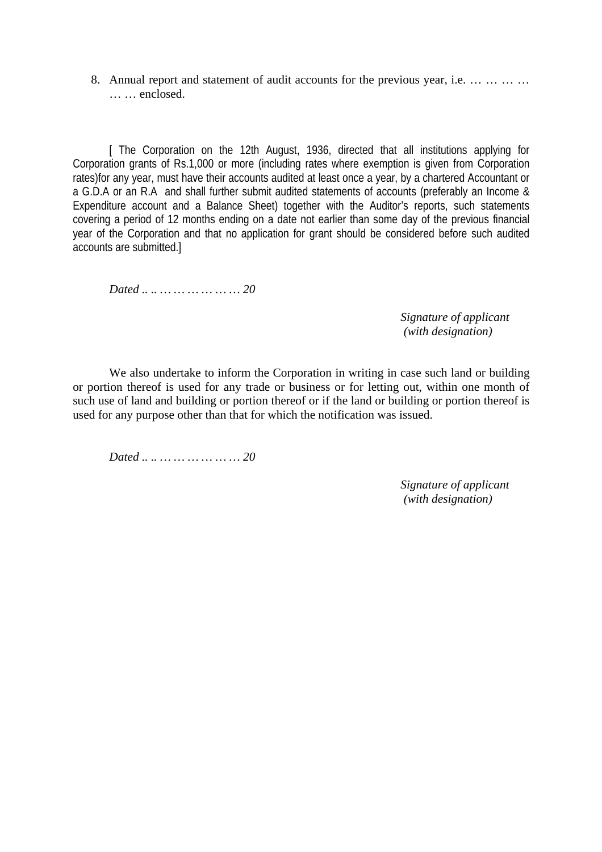8. Annual report and statement of audit accounts for the previous year, i.e. … … … … … … enclosed.

[ The Corporation on the 12th August, 1936, directed that all institutions applying for Corporation grants of Rs.1,000 or more (including rates where exemption is given from Corporation rates)for any year, must have their accounts audited at least once a year, by a chartered Accountant or a G.D.A or an R.A and shall further submit audited statements of accounts (preferably an Income & Expenditure account and a Balance Sheet) together with the Auditor's reports, such statements covering a period of 12 months ending on a date not earlier than some day of the previous financial year of the Corporation and that no application for grant should be considered before such audited accounts are submitted.]

*Dated .. .. … … … … … … 20* 

 *Signature of applicant (with designation)* 

We also undertake to inform the Corporation in writing in case such land or building or portion thereof is used for any trade or business or for letting out, within one month of such use of land and building or portion thereof or if the land or building or portion thereof is used for any purpose other than that for which the notification was issued.

*Dated .. .. … … … … … … 20* 

 *Signature of applicant (with designation)*